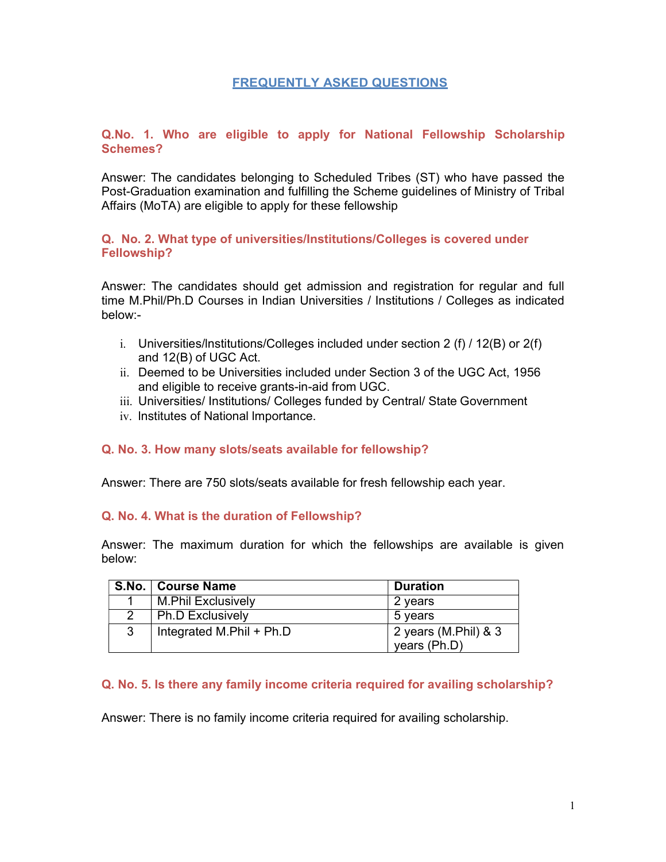## FREQUENTLY ASKED QUESTIONS

## Q.No. 1. Who are eligible to apply for National Fellowship Scholarship Schemes?

Answer: The candidates belonging to Scheduled Tribes (ST) who have passed the Post-Graduation examination and fulfilling the Scheme guidelines of Ministry of Tribal Affairs (MoTA) are eligible to apply for these fellowship

#### Q. No. 2. What type of universities/Institutions/Colleges is covered under Fellowship?

Answer: The candidates should get admission and registration for regular and full time M.Phil/Ph.D Courses in Indian Universities / Institutions / Colleges as indicated below:-

- i. Universities/lnstitutions/Colleges included under section 2 (f) / 12(B) or 2(f) and 12(B) of UGC Act.
- ii. Deemed to be Universities included under Section 3 of the UGC Act, 1956 and eligible to receive grants-in-aid from UGC.
- iii. Universities/ Institutions/ Colleges funded by Central/ State Government
- iv. lnstitutes of National lmportance.

## Q. No. 3. How many slots/seats available for fellowship?

Answer: There are 750 slots/seats available for fresh fellowship each year.

#### Q. No. 4. What is the duration of Fellowship?

Answer: The maximum duration for which the fellowships are available is given below:

|   | S.No.   Course Name       | <b>Duration</b>      |
|---|---------------------------|----------------------|
|   | <b>M.Phil Exclusively</b> | 2 years              |
|   | <b>Ph.D Exclusively</b>   | 5 years              |
| 3 | Integrated M.Phil + Ph.D  | 2 years (M.Phil) & 3 |
|   |                           | years (Ph.D)         |

#### Q. No. 5. Is there any family income criteria required for availing scholarship?

Answer: There is no family income criteria required for availing scholarship.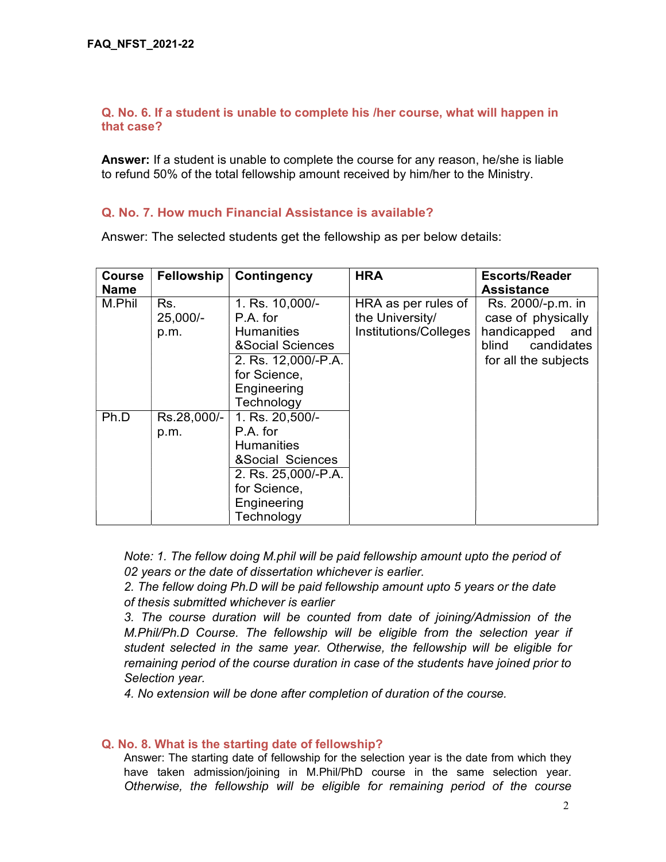## Q. No. 6. If a student is unable to complete his /her course, what will happen in that case?

Answer: If a student is unable to complete the course for any reason, he/she is liable to refund 50% of the total fellowship amount received by him/her to the Ministry.

## Q. No. 7. How much Financial Assistance is available?

Answer: The selected students get the fellowship as per below details:

| <b>Course</b> | Fellowship  | Contingency                 | <b>HRA</b>            | <b>Escorts/Reader</b> |
|---------------|-------------|-----------------------------|-----------------------|-----------------------|
| <b>Name</b>   |             |                             |                       | <b>Assistance</b>     |
| M.Phil        | Rs.         | 1. Rs. 10,000/-             | HRA as per rules of   | Rs. 2000/-p.m. in     |
|               | $25,000/-$  | P.A. for                    | the University/       | case of physically    |
|               | p.m.        | <b>Humanities</b>           | Institutions/Colleges | handicapped<br>and    |
|               |             | <b>&amp;Social Sciences</b> |                       | blind<br>candidates   |
|               |             | 2. Rs. 12,000/-P.A.         |                       | for all the subjects  |
|               |             | for Science,                |                       |                       |
|               |             | Engineering                 |                       |                       |
|               |             | Technology                  |                       |                       |
| Ph.D          | Rs.28,000/- | 1. Rs. 20,500/-             |                       |                       |
|               | p.m.        | P.A. for                    |                       |                       |
|               |             | <b>Humanities</b>           |                       |                       |
|               |             | &Social Sciences            |                       |                       |
|               |             | 2. Rs. 25,000/-P.A.         |                       |                       |
|               |             | for Science,                |                       |                       |
|               |             | Engineering                 |                       |                       |
|               |             | Technology                  |                       |                       |

Note: 1. The fellow doing M.phil will be paid fellowship amount upto the period of 02 years or the date of dissertation whichever is earlier.

2. The fellow doing Ph.D will be paid fellowship amount upto 5 years or the date of thesis submitted whichever is earlier

3. The course duration will be counted from date of joining/Admission of the M.Phil/Ph.D Course. The fellowship will be eligible from the selection year if student selected in the same year. Otherwise, the fellowship will be eligible for remaining period of the course duration in case of the students have joined prior to Selection year.

4. No extension will be done after completion of duration of the course.

## Q. No. 8. What is the starting date of fellowship?

Answer: The starting date of fellowship for the selection year is the date from which they have taken admission/joining in M.Phil/PhD course in the same selection year. Otherwise, the fellowship will be eligible for remaining period of the course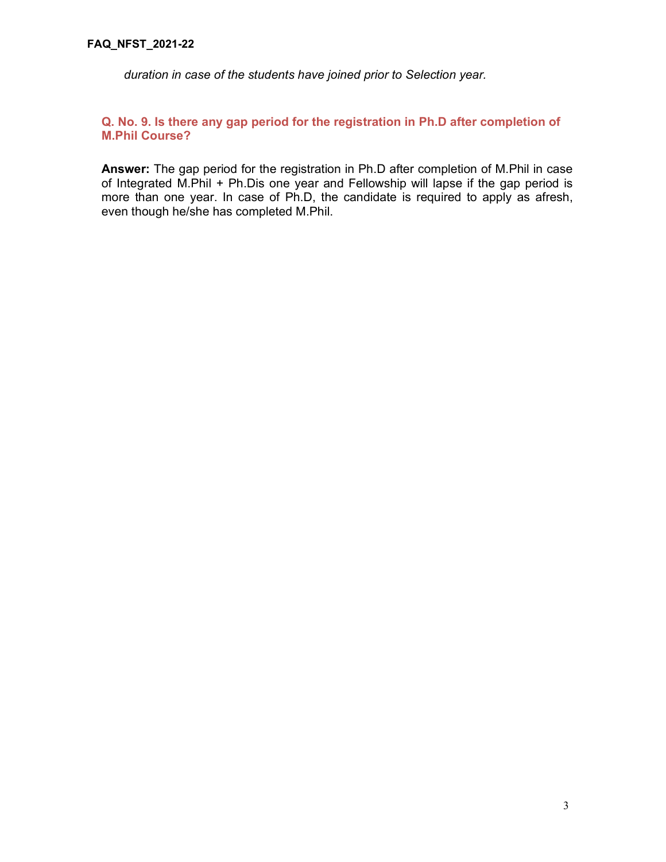duration in case of the students have joined prior to Selection year.

## Q. No. 9. Is there any gap period for the registration in Ph.D after completion of M.Phil Course?

Answer: The gap period for the registration in Ph.D after completion of M.Phil in case of Integrated M.Phil + Ph.Dis one year and Fellowship will lapse if the gap period is more than one year. In case of Ph.D, the candidate is required to apply as afresh, even though he/she has completed M.Phil.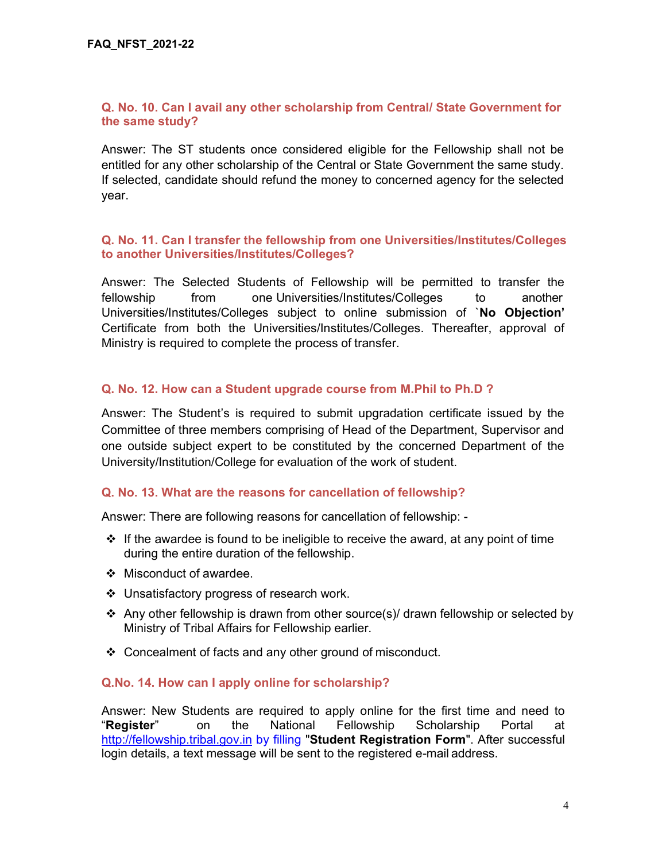## Q. No. 10. Can I avail any other scholarship from Central/ State Government for the same study?

Answer: The ST students once considered eligible for the Fellowship shall not be entitled for any other scholarship of the Central or State Government the same study. If selected, candidate should refund the money to concerned agency for the selected year.

## Q. No. 11. Can I transfer the fellowship from one Universities/Institutes/Colleges to another Universities/Institutes/Colleges?

Answer: The Selected Students of Fellowship will be permitted to transfer the fellowship from one Universities/Institutes/Colleges to another Universities/Institutes/Colleges subject to online submission of `No Objection' Certificate from both the Universities/Institutes/Colleges. Thereafter, approval of Ministry is required to complete the process of transfer.

## Q. No. 12. How can a Student upgrade course from M.Phil to Ph.D ?

Answer: The Student's is required to submit upgradation certificate issued by the Committee of three members comprising of Head of the Department, Supervisor and one outside subject expert to be constituted by the concerned Department of the University/Institution/College for evaluation of the work of student.

## Q. No. 13. What are the reasons for cancellation of fellowship?

Answer: There are following reasons for cancellation of fellowship: -

- $\div$  If the awardee is found to be ineligible to receive the award, at any point of time during the entire duration of the fellowship.
- ❖ Misconduct of awardee.
- Unsatisfactory progress of research work.
- Any other fellowship is drawn from other source(s)/ drawn fellowship or selected by Ministry of Tribal Affairs for Fellowship earlier.
- ❖ Concealment of facts and any other ground of misconduct.

## Q.No. 14. How can I apply online for scholarship?

Answer: New Students are required to apply online for the first time and need to "Register" on the National Fellowship Scholarship Portal at http://fellowship.tribal.gov.in by filling "Student Registration Form". After successful login details, a text message will be sent to the registered e-mail address.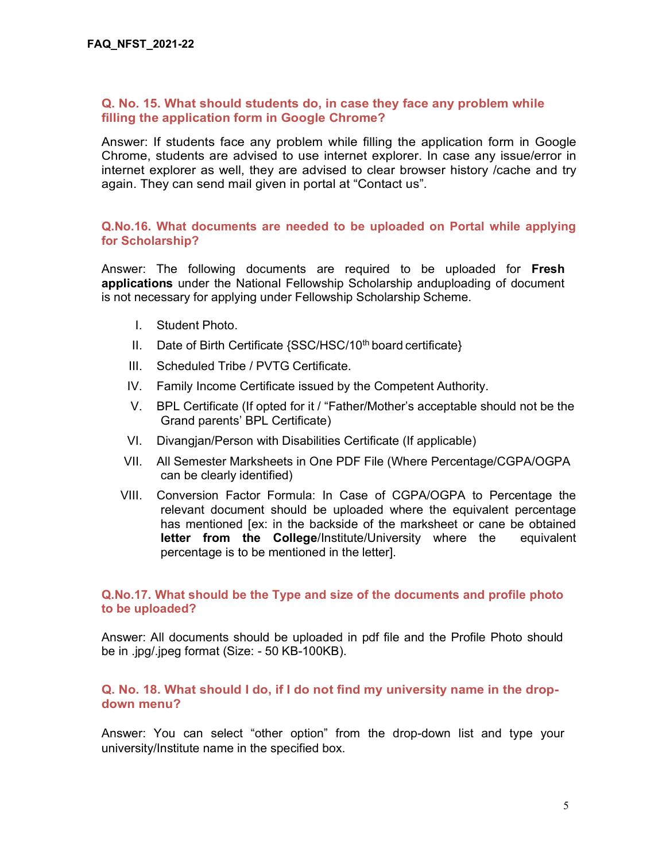#### Q. No. 15. What should students do, in case they face any problem while filling the application form in Google Chrome?

Answer: If students face any problem while filling the application form in Google Chrome, students are advised to use internet explorer. In case any issue/error in internet explorer as well, they are advised to clear browser history /cache and try again. They can send mail given in portal at "Contact us".

#### Q.No.16. What documents are needed to be uploaded on Portal while applying for Scholarship?

Answer: The following documents are required to be uploaded for Fresh applications under the National Fellowship Scholarship anduploading of document is not necessary for applying under Fellowship Scholarship Scheme.

- I. Student Photo.
- II. Date of Birth Certificate  $\{SSC/HSC/10^{th}$  board certificate $\}$
- III. Scheduled Tribe / PVTG Certificate.
- IV. Family Income Certificate issued by the Competent Authority.
- V. BPL Certificate (If opted for it / "Father/Mother's acceptable should not be the Grand parents' BPL Certificate)
- VI. Divangjan/Person with Disabilities Certificate (If applicable)
- VII. All Semester Marksheets in One PDF File (Where Percentage/CGPA/OGPA can be clearly identified)
- VIII. Conversion Factor Formula: In Case of CGPA/OGPA to Percentage the relevant document should be uploaded where the equivalent percentage has mentioned [ex: in the backside of the marksheet or cane be obtained letter from the College/Institute/University where the equivalent percentage is to be mentioned in the letter].

#### Q.No.17. What should be the Type and size of the documents and profile photo to be uploaded?

Answer: All documents should be uploaded in pdf file and the Profile Photo should be in .jpg/.jpeg format (Size: - 50 KB-100KB).

## Q. No. 18. What should I do, if I do not find my university name in the dropdown menu?

Answer: You can select "other option" from the drop-down list and type your university/Institute name in the specified box.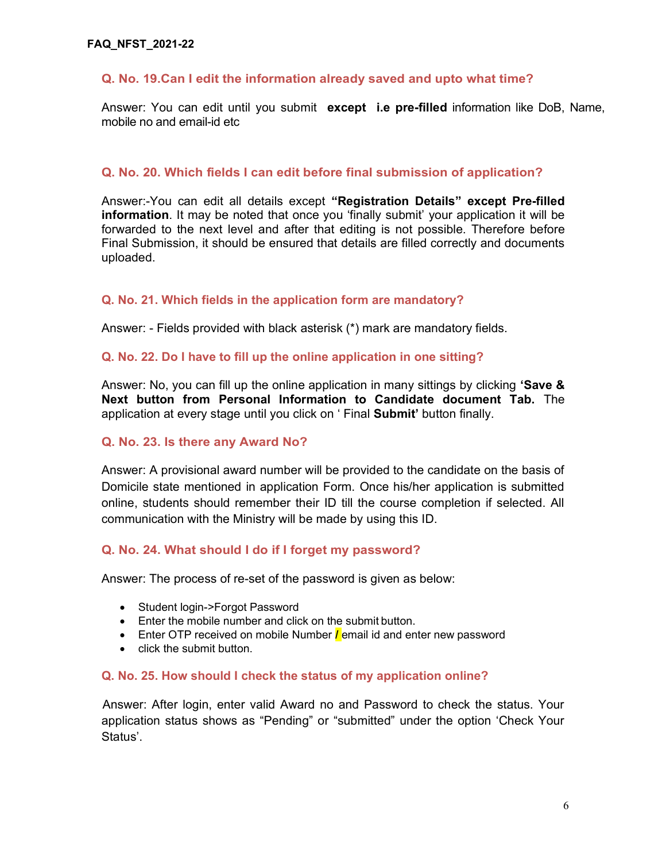# Q. No. 19.Can I edit the information already saved and upto what time?

Answer: You can edit until you submit except i.e pre-filled information like DoB, Name, mobile no and email-id etc

## Q. No. 20. Which fields I can edit before final submission of application?

Answer:-You can edit all details except "Registration Details" except Pre-filled information. It may be noted that once you 'finally submit' your application it will be forwarded to the next level and after that editing is not possible. Therefore before Final Submission, it should be ensured that details are filled correctly and documents uploaded.

## Q. No. 21. Which fields in the application form are mandatory?

Answer: - Fields provided with black asterisk (\*) mark are mandatory fields.

#### Q. No. 22. Do I have to fill up the online application in one sitting?

Answer: No, you can fill up the online application in many sittings by clicking 'Save & Next button from Personal Information to Candidate document Tab. The application at every stage until you click on ' Final Submit' button finally.

## Q. No. 23. Is there any Award No?

Answer: A provisional award number will be provided to the candidate on the basis of Domicile state mentioned in application Form. Once his/her application is submitted online, students should remember their ID till the course completion if selected. All communication with the Ministry will be made by using this ID.

## Q. No. 24. What should I do if I forget my password?

Answer: The process of re-set of the password is given as below:

- Student login->Forgot Password
- Enter the mobile number and click on the submit button.
- **Enter OTP received on mobile Number** *l* email id and enter new password
- click the submit button.

#### Q. No. 25. How should I check the status of my application online?

Answer: After login, enter valid Award no and Password to check the status. Your application status shows as "Pending" or "submitted" under the option 'Check Your Status'.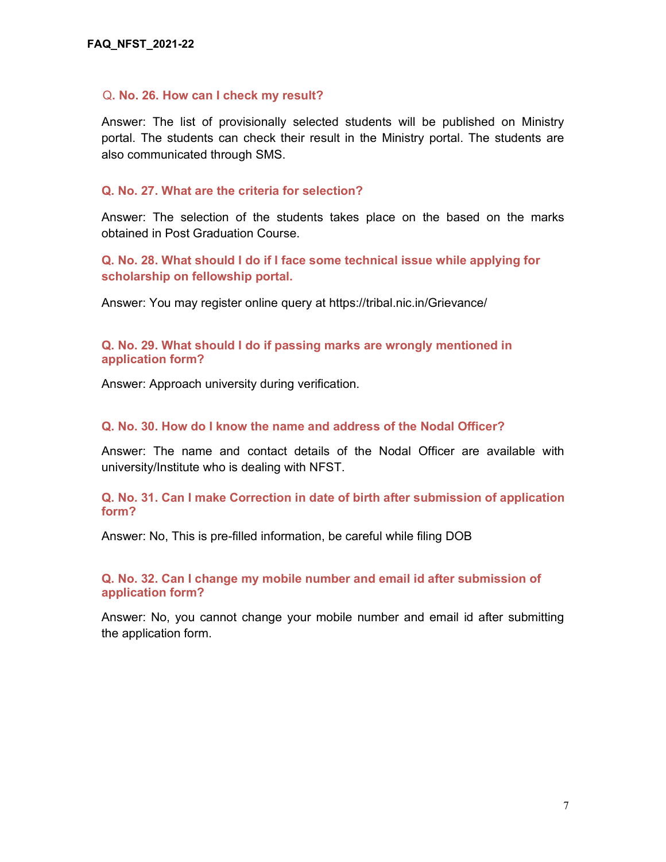#### Q. No. 26. How can I check my result?

Answer: The list of provisionally selected students will be published on Ministry portal. The students can check their result in the Ministry portal. The students are also communicated through SMS.

#### Q. No. 27. What are the criteria for selection?

Answer: The selection of the students takes place on the based on the marks obtained in Post Graduation Course.

Q. No. 28. What should I do if I face some technical issue while applying for scholarship on fellowship portal.

Answer: You may register online query at https://tribal.nic.in/Grievance/

#### Q. No. 29. What should I do if passing marks are wrongly mentioned in application form?

Answer: Approach university during verification.

#### Q. No. 30. How do I know the name and address of the Nodal Officer?

Answer: The name and contact details of the Nodal Officer are available with university/Institute who is dealing with NFST.

Q. No. 31. Can I make Correction in date of birth after submission of application form?

Answer: No, This is pre-filled information, be careful while filing DOB

Q. No. 32. Can I change my mobile number and email id after submission of application form?

Answer: No, you cannot change your mobile number and email id after submitting the application form.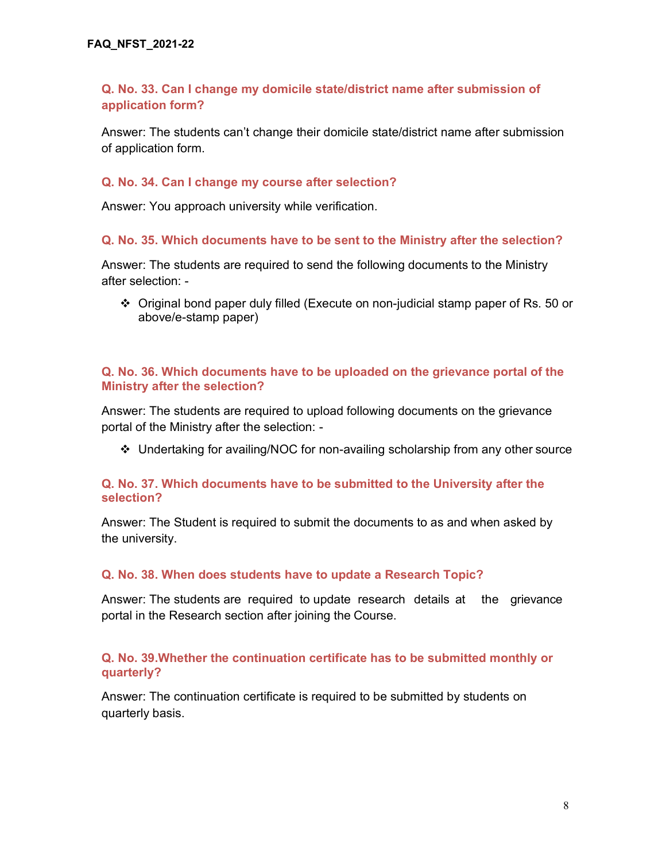# Q. No. 33. Can I change my domicile state/district name after submission of application form?

Answer: The students can't change their domicile state/district name after submission of application form.

## Q. No. 34. Can I change my course after selection?

Answer: You approach university while verification.

## Q. No. 35. Which documents have to be sent to the Ministry after the selection?

Answer: The students are required to send the following documents to the Ministry after selection: -

 Original bond paper duly filled (Execute on non-judicial stamp paper of Rs. 50 or above/e-stamp paper)

## Q. No. 36. Which documents have to be uploaded on the grievance portal of the Ministry after the selection?

Answer: The students are required to upload following documents on the grievance portal of the Ministry after the selection: -

Undertaking for availing/NOC for non-availing scholarship from any other source

## Q. No. 37. Which documents have to be submitted to the University after the selection?

Answer: The Student is required to submit the documents to as and when asked by the university.

## Q. No. 38. When does students have to update a Research Topic?

Answer: The students are required to update research details at the grievance portal in the Research section after joining the Course.

## Q. No. 39.Whether the continuation certificate has to be submitted monthly or quarterly?

Answer: The continuation certificate is required to be submitted by students on quarterly basis.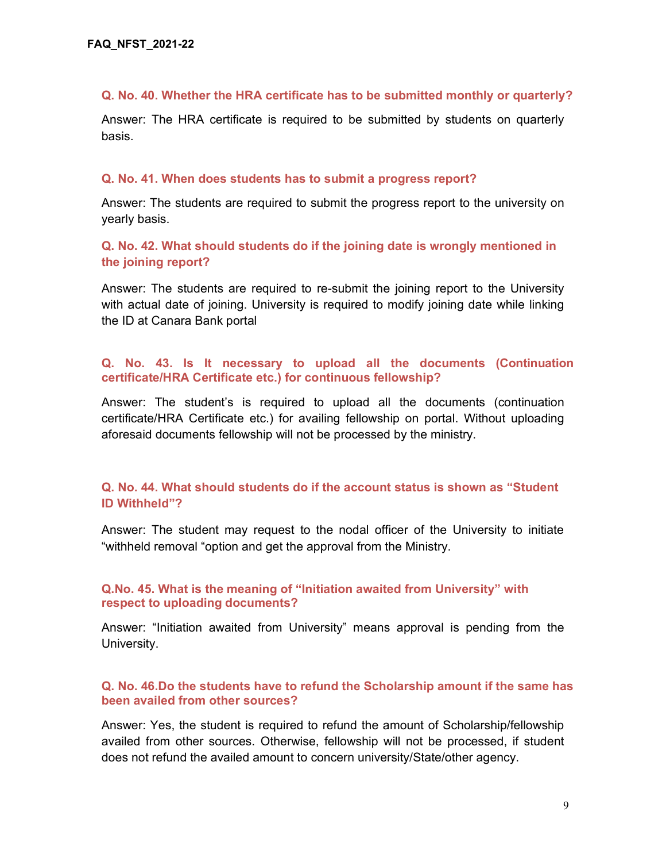#### Q. No. 40. Whether the HRA certificate has to be submitted monthly or quarterly?

Answer: The HRA certificate is required to be submitted by students on quarterly basis.

#### Q. No. 41. When does students has to submit a progress report?

Answer: The students are required to submit the progress report to the university on yearly basis.

# Q. No. 42. What should students do if the joining date is wrongly mentioned in the joining report?

Answer: The students are required to re-submit the joining report to the University with actual date of joining. University is required to modify joining date while linking the ID at Canara Bank portal

## Q. No. 43. Is It necessary to upload all the documents (Continuation certificate/HRA Certificate etc.) for continuous fellowship?

Answer: The student's is required to upload all the documents (continuation certificate/HRA Certificate etc.) for availing fellowship on portal. Without uploading aforesaid documents fellowship will not be processed by the ministry.

## Q. No. 44. What should students do if the account status is shown as "Student ID Withheld"?

Answer: The student may request to the nodal officer of the University to initiate "withheld removal "option and get the approval from the Ministry.

## Q.No. 45. What is the meaning of "Initiation awaited from University" with respect to uploading documents?

Answer: "Initiation awaited from University" means approval is pending from the University.

## Q. No. 46.Do the students have to refund the Scholarship amount if the same has been availed from other sources?

Answer: Yes, the student is required to refund the amount of Scholarship/fellowship availed from other sources. Otherwise, fellowship will not be processed, if student does not refund the availed amount to concern university/State/other agency.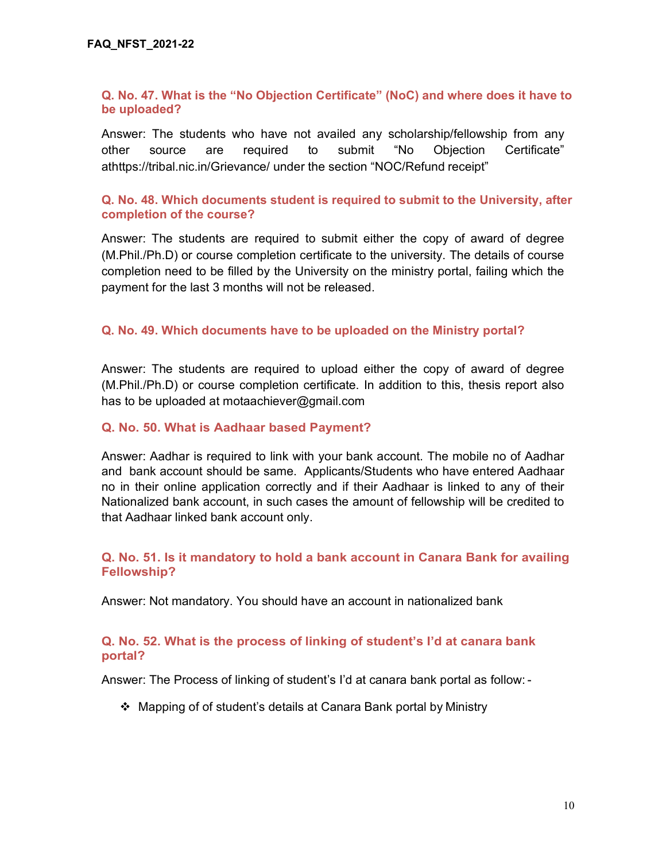## Q. No. 47. What is the "No Objection Certificate" (NoC) and where does it have to be uploaded?

Answer: The students who have not availed any scholarship/fellowship from any other source are required to submit "No Objection Certificate" athttps://tribal.nic.in/Grievance/ under the section "NOC/Refund receipt"

## Q. No. 48. Which documents student is required to submit to the University, after completion of the course?

Answer: The students are required to submit either the copy of award of degree (M.Phil./Ph.D) or course completion certificate to the university. The details of course completion need to be filled by the University on the ministry portal, failing which the payment for the last 3 months will not be released.

## Q. No. 49. Which documents have to be uploaded on the Ministry portal?

Answer: The students are required to upload either the copy of award of degree (M.Phil./Ph.D) or course completion certificate. In addition to this, thesis report also has to be uploaded at motaachiever@gmail.com

#### Q. No. 50. What is Aadhaar based Payment?

Answer: Aadhar is required to link with your bank account. The mobile no of Aadhar and bank account should be same. Applicants/Students who have entered Aadhaar no in their online application correctly and if their Aadhaar is linked to any of their Nationalized bank account, in such cases the amount of fellowship will be credited to that Aadhaar linked bank account only.

## Q. No. 51. Is it mandatory to hold a bank account in Canara Bank for availing Fellowship?

Answer: Not mandatory. You should have an account in nationalized bank

## Q. No. 52. What is the process of linking of student's I'd at canara bank portal?

Answer: The Process of linking of student's I'd at canara bank portal as follow: -

Mapping of of student's details at Canara Bank portal by Ministry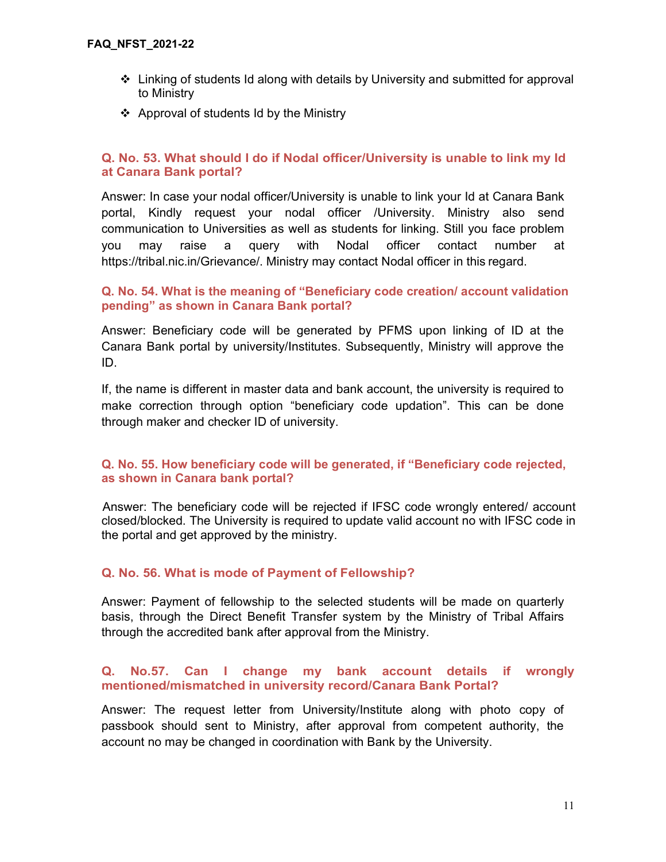- $\div$  Linking of students Id along with details by University and submitted for approval to Ministry
- ❖ Approval of students Id by the Ministry

## Q. No. 53. What should I do if Nodal officer/University is unable to link my Id at Canara Bank portal?

Answer: In case your nodal officer/University is unable to link your Id at Canara Bank portal, Kindly request your nodal officer /University. Ministry also send communication to Universities as well as students for linking. Still you face problem you may raise a query with Nodal officer contact number at https://tribal.nic.in/Grievance/. Ministry may contact Nodal officer in this regard.

## Q. No. 54. What is the meaning of "Beneficiary code creation/ account validation pending" as shown in Canara Bank portal?

Answer: Beneficiary code will be generated by PFMS upon linking of ID at the Canara Bank portal by university/Institutes. Subsequently, Ministry will approve the ID.

If, the name is different in master data and bank account, the university is required to make correction through option "beneficiary code updation". This can be done through maker and checker ID of university.

## Q. No. 55. How beneficiary code will be generated, if "Beneficiary code rejected, as shown in Canara bank portal?

Answer: The beneficiary code will be rejected if IFSC code wrongly entered/ account closed/blocked. The University is required to update valid account no with IFSC code in the portal and get approved by the ministry.

# Q. No. 56. What is mode of Payment of Fellowship?

Answer: Payment of fellowship to the selected students will be made on quarterly basis, through the Direct Benefit Transfer system by the Ministry of Tribal Affairs through the accredited bank after approval from the Ministry.

## Q. No.57. Can I change my bank account details if wrongly mentioned/mismatched in university record/Canara Bank Portal?

Answer: The request letter from University/Institute along with photo copy of passbook should sent to Ministry, after approval from competent authority, the account no may be changed in coordination with Bank by the University.